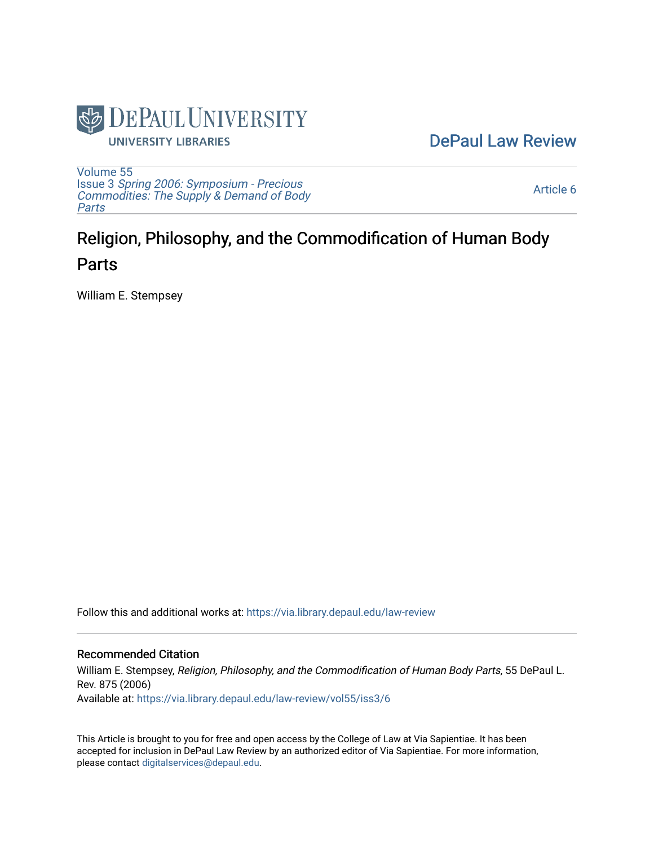

[DePaul Law Review](https://via.library.depaul.edu/law-review) 

[Volume 55](https://via.library.depaul.edu/law-review/vol55) Issue 3 [Spring 2006: Symposium - Precious](https://via.library.depaul.edu/law-review/vol55/iss3) [Commodities: The Supply & Demand of Body](https://via.library.depaul.edu/law-review/vol55/iss3) [Parts](https://via.library.depaul.edu/law-review/vol55/iss3)

[Article 6](https://via.library.depaul.edu/law-review/vol55/iss3/6) 

# Religion, Philosophy, and the Commodification of Human Body Parts

William E. Stempsey

Follow this and additional works at: [https://via.library.depaul.edu/law-review](https://via.library.depaul.edu/law-review?utm_source=via.library.depaul.edu%2Flaw-review%2Fvol55%2Fiss3%2F6&utm_medium=PDF&utm_campaign=PDFCoverPages) 

# Recommended Citation

William E. Stempsey, Religion, Philosophy, and the Commodification of Human Body Parts, 55 DePaul L. Rev. 875 (2006) Available at: [https://via.library.depaul.edu/law-review/vol55/iss3/6](https://via.library.depaul.edu/law-review/vol55/iss3/6?utm_source=via.library.depaul.edu%2Flaw-review%2Fvol55%2Fiss3%2F6&utm_medium=PDF&utm_campaign=PDFCoverPages) 

This Article is brought to you for free and open access by the College of Law at Via Sapientiae. It has been accepted for inclusion in DePaul Law Review by an authorized editor of Via Sapientiae. For more information, please contact [digitalservices@depaul.edu.](mailto:digitalservices@depaul.edu)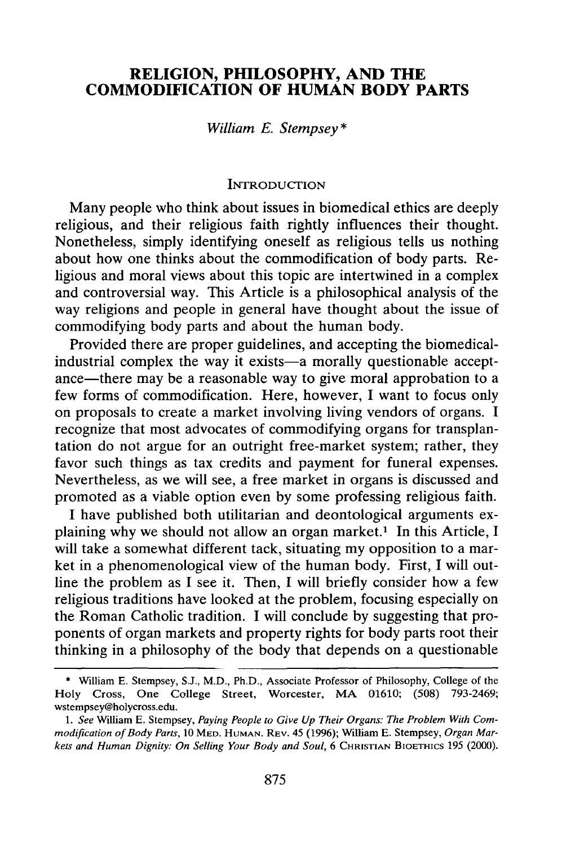# **RELIGION, PHILOSOPHY, AND THE COMMODIFICATION OF HUMAN BODY PARTS**

## *William E. Stempsey \**

#### **INTRODUCTION**

Many people who think about issues in biomedical ethics are deeply religious, and their religious faith rightly influences their thought. Nonetheless, simply identifying oneself as religious tells us nothing about how one thinks about the commodification of body parts. Religious and moral views about this topic are intertwined in a complex and controversial way. This Article is a philosophical analysis of the way religions and people in general have thought about the issue of commodifying body parts and about the human body.

Provided there are proper guidelines, and accepting the biomedicalindustrial complex the way it exists—a morally questionable acceptance-there may be a reasonable way to give moral approbation to a few forms of commodification. Here, however, I want to focus only on proposals to create a market involving living vendors of organs. I recognize that most advocates of commodifying organs for transplantation do not argue for an outright free-market system; rather, they favor such things as tax credits and payment for funeral expenses. Nevertheless, as we will see, a free market in organs is discussed and promoted as a viable option even by some professing religious faith.

I have published both utilitarian and deontological arguments explaining why we should not allow an organ market.<sup>1</sup> In this Article, I will take a somewhat different tack, situating my opposition to a market in a phenomenological view of the human body. First, I will outline the problem as I see it. Then, I will briefly consider how a few religious traditions have looked at the problem, focusing especially on the Roman Catholic tradition. I will conclude by suggesting that proponents of organ markets and property rights for body parts root their thinking in a philosophy of the body that depends on a questionable

**<sup>\*</sup>** William E. Stempsey, S.J., M.D., Ph.D., Associate Professor of Philosophy, College of the Holy Cross, One College Street, Worcester, MA 01610; (508) 793-2469; wstempsey@holycross.edu.

*<sup>1.</sup> See* William E. Stempsey, *Paying People to Give Up Their Organs: The Problem With Cornmodification of Body Parts,* 10 **MED. HUMAN.** REV. 45 (1996); William E. Stempsey, *Organ Markets and Human Dignity: On Selling Your Body and Soul,* 6 CHRISTIAN BIOETHICS 195 (2000).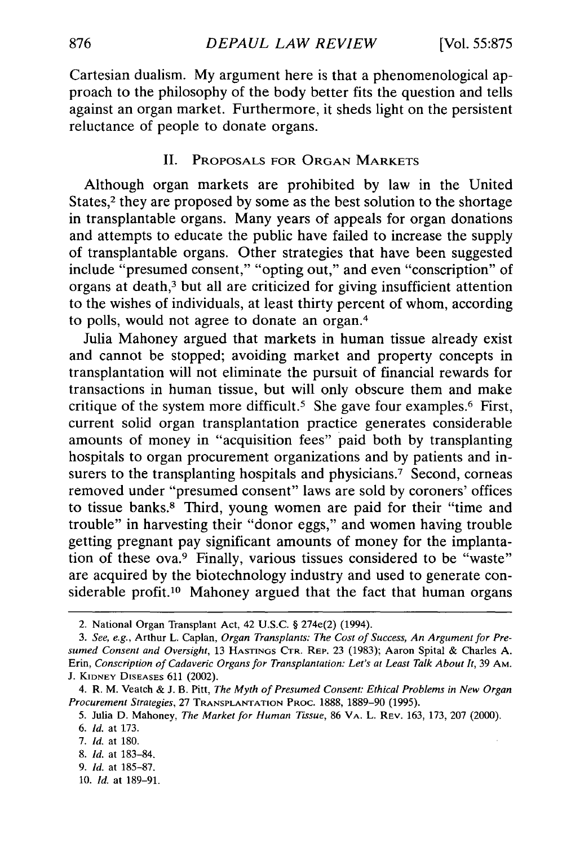Cartesian dualism. My argument here is that a phenomenological approach to the philosophy of the body better fits the question and tells against an organ market. Furthermore, it sheds light on the persistent reluctance of people to donate organs.

#### II. PROPOSALS FOR **ORGAN** MARKETS

Although organ markets are prohibited by law in the United States, $2$  they are proposed by some as the best solution to the shortage in transplantable organs. Many years of appeals for organ donations and attempts to educate the public have failed to increase the supply of transplantable organs. Other strategies that have been suggested include "presumed consent," "opting out," and even "conscription" of organs at death,<sup>3</sup> but all are criticized for giving insufficient attention to the wishes of individuals, at least thirty percent of whom, according to polls, would not agree to donate an organ. <sup>4</sup>

Julia Mahoney argued that markets in human tissue already exist and cannot be stopped; avoiding market and property concepts in transplantation will not eliminate the pursuit of financial rewards for transactions in human tissue, but will only obscure them and make critique of the system more difficult.<sup>5</sup> She gave four examples.<sup>6</sup> First, current solid organ transplantation practice generates considerable amounts of money in "acquisition fees" paid both by transplanting hospitals to organ procurement organizations and by patients and insurers to the transplanting hospitals and physicians.<sup>7</sup> Second, corneas removed under "presumed consent" laws are sold by coroners' offices to tissue banks.8 Third, young women are paid for their "time and trouble" in harvesting their "donor eggs," and women having trouble getting pregnant pay significant amounts of money for the implantation of these ova.9 Finally, various tissues considered to be "waste" are acquired by the biotechnology industry and used to generate considerable profit.<sup>10</sup> Mahoney argued that the fact that human organs

- 8. *Id.* at 183-84.
- 9. *Id.* at 185-87.
- 10. *Id.* at 189-91.

<sup>2.</sup> National Organ Transplant Act, 42 U.S.C. § 274e(2) (1994).

*<sup>3.</sup> See, e.g.,* Arthur L. Caplan, *Organ Transplants: The Cost of Success, An Argument for Presumed Consent and Oversight,* 13 **HASTINGS** CTR. REP. 23 (1983); Aaron Spital & Charles A. Erin, *Conscription of Cadaveric Organs for Transplantation: Let's at Least Talk About It,* 39 AM. J. KIDNEY DISEASES 611 (2002).

<sup>4.</sup> R. M. Veatch & **J.** B. Pitt, *The Myth of Presumed Consent: Ethical Problems in New Organ Procurement Strategies,* 27 **TRANSPLANTATION** PROC. 1888, 1889-90 (1995).

<sup>5.</sup> Julia D. Mahoney, *The Market for Human Tissue,* 86 VA. L. REV. 163, 173, 207 (2000).

*<sup>6.</sup> Id.* at 173.

*<sup>7.</sup> Id.* at 180.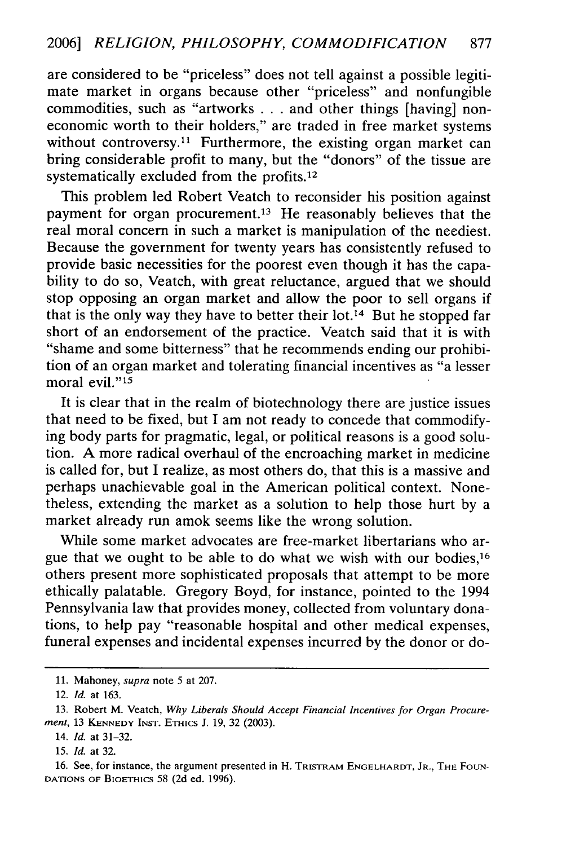are considered to be "priceless" does not tell against a possible legitimate market in organs because other "priceless" and nonfungible commodities, such as "artworks . . . and other things [having] noneconomic worth to their holders," are traded in free market systems without controversy.<sup>11</sup> Furthermore, the existing organ market can bring considerable profit to many, but the "donors" of the tissue are systematically excluded from the profits.<sup>12</sup>

This problem led Robert Veatch to reconsider his position against payment for organ procurement.<sup>13</sup> He reasonably believes that the real moral concern in such a market is manipulation of the neediest. Because the government for twenty years has consistently refused to provide basic necessities for the poorest even though it has the capability to do so, Veatch, with great reluctance, argued that we should stop opposing an organ market and allow the poor to sell organs if that is the only way they have to better their lot.<sup>14</sup> But he stopped far short of an endorsement of the practice. Veatch said that it is with "shame and some bitterness" that he recommends ending our prohibition of an organ market and tolerating financial incentives as "a lesser moral evil."<sup>15</sup>

It is clear that in the realm of biotechnology there are justice issues that need to be fixed, but I am not ready to concede that commodifying body parts for pragmatic, legal, or political reasons is a good solution. A more radical overhaul of the encroaching market in medicine is called for, but I realize, as most others do, that this is a massive and perhaps unachievable goal in the American political context. Nonetheless, extending the market as a solution to help those hurt by a market already run amok seems like the wrong solution.

While some market advocates are free-market libertarians who argue that we ought to be able to do what we wish with our bodies,<sup>16</sup> others present more sophisticated proposals that attempt to be more ethically palatable. Gregory Boyd, for instance, pointed to the 1994 Pennsylvania law that provides money, collected from voluntary donations, to help pay "reasonable hospital and other medical expenses, funeral expenses and incidental expenses incurred by the donor or do-

15. *Id.* at 32.

**ll.** Mahoney, *supra* note 5 at 207.

<sup>12.</sup> *Id.* at 163.

<sup>13.</sup> Robert M. Veatch, *Why Liberals Should Accept Financial Incentives for Organ Procurement,* 13 **KENNEDY INST.** ETHics **J. 19, 32 (2003).**

<sup>14.</sup> *Id.* at 31-32.

<sup>16.</sup> See, for instance, the argument presented in H. TRISTRAM **ENGELHARDT,** JR., THE FOUN-**DATIONS** OF BIOETHIcs 58 (2d ed. 1996).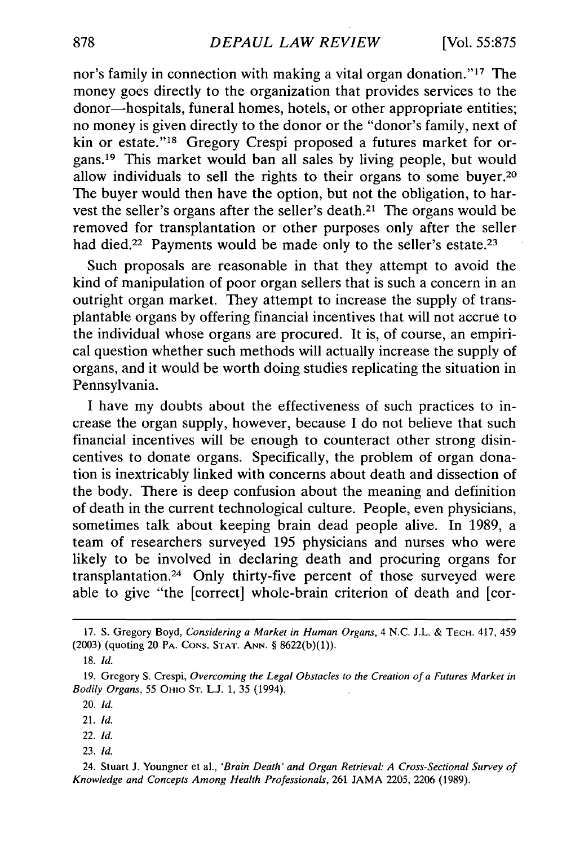nor's family in connection with making a vital organ donation."<sup>17</sup> The money goes directly to the organization that provides services to the donor-hospitals, funeral homes, hotels, or other appropriate entities; no money is given directly to the donor or the "donor's family, next of kin or estate."<sup>18</sup> Gregory Crespi proposed a futures market for organs. 19 This market would ban all sales by living people, but would allow individuals to sell the rights to their organs to some buyer.<sup>20</sup> The buyer would then have the option, but not the obligation, to harvest the seller's organs after the seller's death.<sup>21</sup> The organs would be removed for transplantation or other purposes only after the seller had died.<sup>22</sup> Payments would be made only to the seller's estate.<sup>23</sup>

Such proposals are reasonable in that they attempt to avoid the kind of manipulation of poor organ sellers that is such a concern in an outright organ market. They attempt to increase the supply of transplantable organs by offering financial incentives that will not accrue to the individual whose organs are procured. It is, of course, an empirical question whether such methods will actually increase the supply of organs, and it would be worth doing studies replicating the situation in Pennsylvania.

I have my doubts about the effectiveness of such practices to increase the organ supply, however, because I do not believe that such financial incentives will be enough to counteract other strong disincentives to donate organs. Specifically, the problem of organ donation is inextricably linked with concerns about death and dissection of the body. There is deep confusion about the meaning and definition of death in the current technological culture. People, even physicians, sometimes talk about keeping brain dead people alive. In 1989, a team of researchers surveyed 195 physicians and nurses who were likely to be involved in declaring death and procuring organs for transplantation. 24 Only thirty-five percent of those surveyed were able to give "the [correct] whole-brain criterion of death and [cor-

- 22. *Id.*
- 23. *Id.*

24. Stuart **J.** Youngner et al., *'Brain Death' and Organ Retrieval: A Cross-Sectional Survey of Knowledge and Concepts Among Health Professionals,* 261 JAMA 2205, 2206 (1989).

<sup>17.</sup> **S.** Gregory Boyd, *Considering a Market in Human Organs,* 4 N.C. J.L. & **TECH.** 417, 459 (2003) (quoting 20 PA. **CONS. STAT. ANN.** § 8622(b)(1)).

<sup>18.</sup> *Id.*

<sup>19.</sup> Gregory S. Crespi, *Overcoming the Legal Obstacles to the Creation of a Futures Market in Bodily Organs,* 55 OHIO ST. L.J. 1, 35 (1994).

<sup>20.</sup> *Id.*

<sup>21.</sup> *Id.*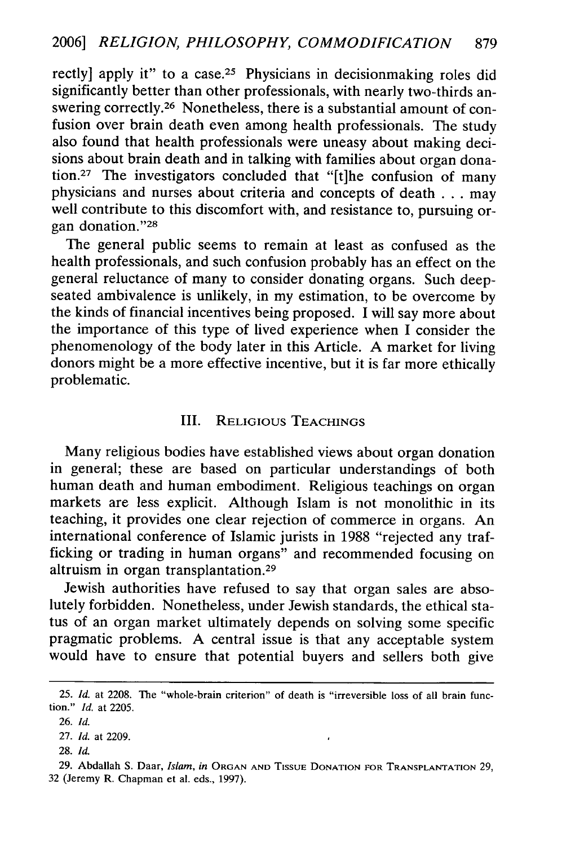rectly] apply it" to a case.<sup>25</sup> Physicians in decisionmaking roles did significantly better than other professionals, with nearly two-thirds answering correctly.<sup>26</sup> Nonetheless, there is a substantial amount of confusion over brain death even among health professionals. The study also found that health professionals were uneasy about making decisions about brain death and in talking with families about organ donation.<sup>27</sup> The investigators concluded that " $[t]$ he confusion of many physicians and nurses about criteria and concepts of death . . . may well contribute to this discomfort with, and resistance to, pursuing organ donation."28

The general public seems to remain at least as confused as the health professionals, and such confusion probably has an effect on the general reluctance of many to consider donating organs. Such deepseated ambivalence is unlikely, in my estimation, to be overcome by the kinds of financial incentives being proposed. I will say more about the importance of this type of lived experience when I consider the phenomenology of the body later in this Article. A market for living donors might be a more effective incentive, but it is far more ethically problematic.

### III. RELIGIOUS **TEACHINGS**

Many religious bodies have established views about organ donation in general; these are based on particular understandings of both human death and human embodiment. Religious teachings on organ markets are less explicit. Although Islam is not monolithic in its teaching, it provides one clear rejection of commerce in organs. An international conference of Islamic jurists in 1988 "rejected any trafficking or trading in human organs" and recommended focusing on altruism in organ transplantation. <sup>29</sup>

Jewish authorities have refused to say that organ sales are absolutely forbidden. Nonetheless, under Jewish standards, the ethical status of an organ market ultimately depends on solving some specific pragmatic problems. A central issue is that any acceptable system would have to ensure that potential buyers and sellers both give

28. *Id.*

<sup>25.</sup> *Id.* at 2208. The "whole-brain criterion" of death is "irreversible loss of all brain function." *Id.* at 2205.

<sup>26.</sup> *Id.*

<sup>27.</sup> *Id.* at 2209.

<sup>29.</sup> Abdallah **S.** Daar, *Islam, in* **ORGAN AND TISSUE DONATION** FOR **TRANSPLANTATION** 29, 32 (Jeremy R. Chapman et al. eds., 1997).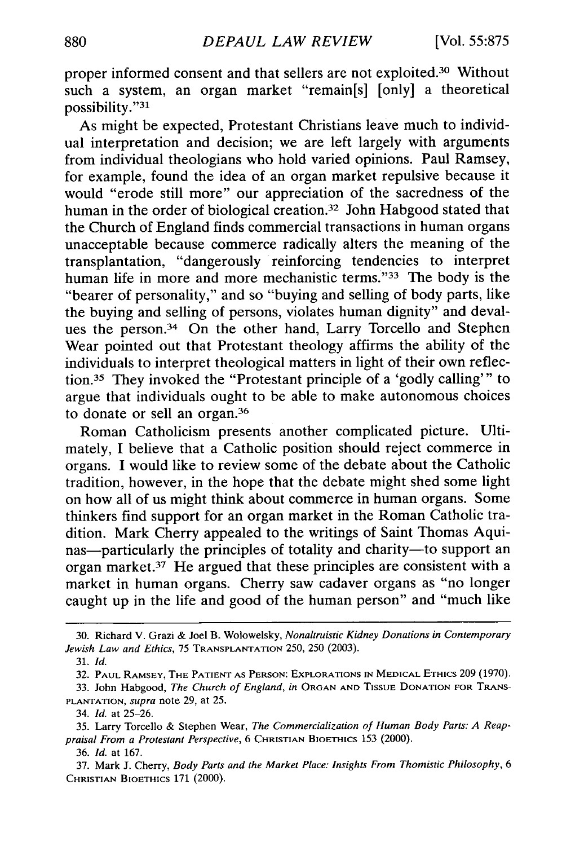proper informed consent and that sellers are not exploited.<sup>30</sup> Without such a system, an organ market "remain[s] [only] a theoretical possibility."31

As might be expected, Protestant Christians leave much to individual interpretation and decision; we are left largely with arguments from individual theologians who hold varied opinions. Paul Ramsey, for example, found the idea of an organ market repulsive because it would "erode still more" our appreciation of the sacredness of the human in the order of biological creation.<sup>32</sup> John Habgood stated that the Church of England finds commercial transactions in human organs unacceptable because commerce radically alters the meaning of the transplantation, "dangerously reinforcing tendencies to interpret human life in more and more mechanistic terms."<sup>33</sup> The body is the "bearer of personality," and so "buying and selling of body parts, like the buying and selling of persons, violates human dignity" and devalues the person.34 On the other hand, Larry Torcello and Stephen Wear pointed out that Protestant theology affirms the ability of the individuals to interpret theological matters in light of their own reflection.35 They invoked the "Protestant principle of a 'godly calling"' to argue that individuals ought to be able to make autonomous choices to donate or sell an organ.<sup>36</sup>

Roman Catholicism presents another complicated picture. Ultimately, I believe that a Catholic position should reject commerce in organs. I would like to review some of the debate about the Catholic tradition, however, in the hope that the debate might shed some light on how all of us might think about commerce in human organs. Some thinkers find support for an organ market in the Roman Catholic tradition. Mark Cherry appealed to the writings of Saint Thomas Aquinas—particularly the principles of totality and charity—to support an organ market.37 He argued that these principles are consistent with a market in human organs. Cherry saw cadaver organs as "no longer caught up in the life and good of the human person" and "much like

34. *Id.* at 25-26.

<sup>30.</sup> Richard V. Grazi & Joel B. Wolowelsky, *Nonaltruistic Kidney Donations in Contemporary Jewish Law and Ethics,* 75 TRANSPLANTATION 250, 250 (2003).

<sup>31.</sup> *Id.*

<sup>32.</sup> **PAUL** RAMSEY, **THE PATIENT AS** PERSON: EXPLORATIONS **IN** MEDICAL ETHICS **209** (1970).

<sup>33.</sup> John Habgood, *The Church of England, in* **ORGAN AND TISSUE DONATION FOR TRANS-PLANTATION,** *supra* note 29, at 25.

<sup>35.</sup> Larry Torcello & Stephen Wear, *The Commercialization of Human Body Parts: A Reappraisal From a Protestant Perspective,* 6 **CHRISTIAN BIOETHICS** 153 (2000).

<sup>36.</sup> *Id.* at 167.

<sup>37.</sup> Mark J. Cherry, *Body Parts and the Market Place: Insights From Thomistic Philosophy, 6* **CHRISTIAN BIOETHICS** 171 (2000).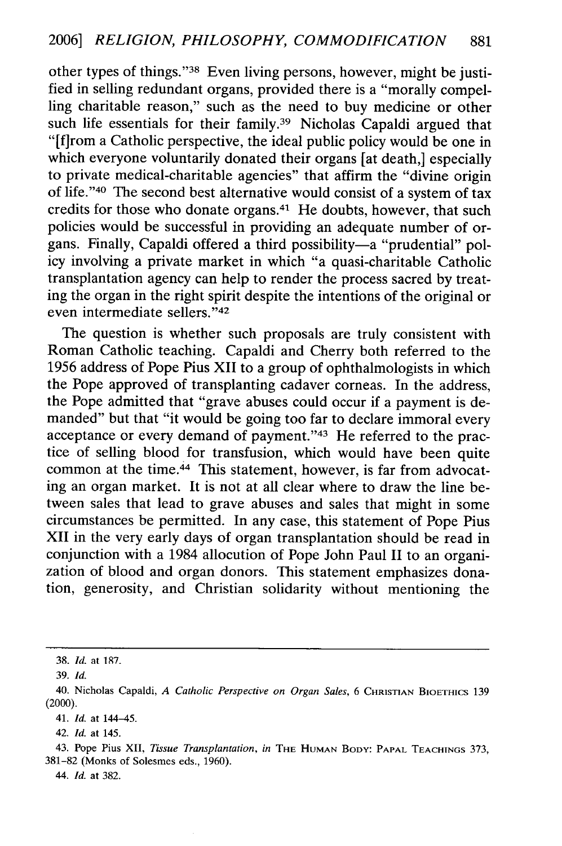other types of things."<sup>38</sup> Even living persons, however, might be justified in selling redundant organs, provided there is a "morally compelling charitable reason," such as the need to buy medicine or other such life essentials for their family.<sup>39</sup> Nicholas Capaldi argued that "[f]rom a Catholic perspective, the ideal public policy would be one in which everyone voluntarily donated their organs [at death,] especially to private medical-charitable agencies" that affirm the "divine origin of life."'40 The second best alternative would consist of a system of tax credits for those who donate organs. 41 He doubts, however, that such policies would be successful in providing an adequate number of organs. Finally, Capaldi offered a third possibility—a "prudential" policy involving a private market in which "a quasi-charitable Catholic transplantation agency can help to render the process sacred by treating the organ in the right spirit despite the intentions of the original or even intermediate sellers."<sup>42</sup>

The question is whether such proposals are truly consistent with Roman Catholic teaching. Capaldi and Cherry both referred to the 1956 address of Pope Pius XII to a group of ophthalmologists in which the Pope approved of transplanting cadaver corneas. In the address, the Pope admitted that "grave abuses could occur if a payment is demanded" but that "it would be going too far to declare immoral every acceptance or every demand of payment."43 He referred to the practice of selling blood for transfusion, which would have been quite common at the time.<sup>44</sup> This statement, however, is far from advocating an organ market. It is not at all clear where to draw the line between sales that lead to grave abuses and sales that might in some circumstances be permitted. In any case, this statement of Pope Pius XII in the very early days of organ transplantation should be read in conjunction with a 1984 allocution of Pope John Paul II to an organization of blood and organ donors. This statement emphasizes donation, generosity, and Christian solidarity without mentioning the

*44. Id.* at 382.

<sup>38.</sup> *Id.* at 187.

<sup>39.</sup> *Id.*

<sup>40.</sup> Nicholas Capaldi, *A Catholic Perspective on Organ Sales,* 6 **CHRISTIAN** BIOETHICS 139 (2000).

*<sup>41.</sup> Id.* at 144-45.

<sup>42.</sup> *Id.* at 145.

<sup>43.</sup> Pope Pius **XII,** *Tissue Transplantation, in* **THE HUMAN** BODY: PAPAL TEACHINGS 373, 381-82 (Monks of Solesmes eds., 1960).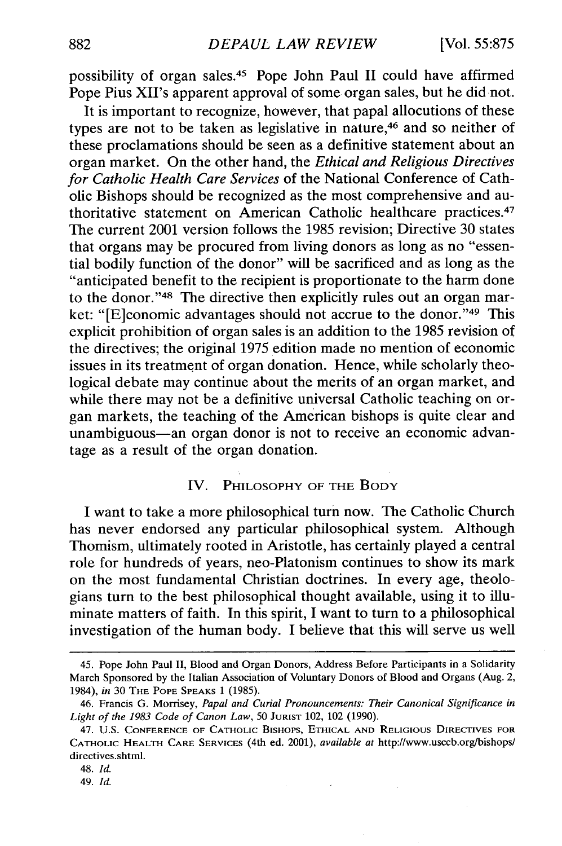possibility of organ sales.45 Pope John Paul II could have affirmed Pope Pius XII's apparent approval of some organ sales, but he did not.

It is important to recognize, however, that papal allocutions of these types are not to be taken as legislative in nature,<sup>46</sup> and so neither of these proclamations should be seen as a definitive statement about an organ market. On the other hand, the *Ethical and Religious Directives for Catholic Health Care Services* of the National Conference of Catholic Bishops should be recognized as the most comprehensive and authoritative statement on American Catholic healthcare practices. <sup>47</sup> The current 2001 version follows the 1985 revision; Directive 30 states that organs may be procured from living donors as long as no "essential bodily function of the donor" will be sacrificed and as long as the "anticipated benefit to the recipient is proportionate to the harm done to the donor."<sup>48</sup> The directive then explicitly rules out an organ market: "[E]conomic advantages should not accrue to the donor."<sup>49</sup> This explicit prohibition of organ sales is an addition to the 1985 revision of the directives; the original 1975 edition made no mention of economic issues in its treatment of organ donation. Hence, while scholarly theological debate may continue about the merits of an organ market, and while there may not be a definitive universal Catholic teaching on organ markets, the teaching of the American bishops is quite clear and unambiguous-an organ donor is not to receive an economic advantage as a result of the organ donation.

#### IV. PHILOSOPHY OF THE BODY

I want to take a more philosophical turn now. The Catholic Church has never endorsed any particular philosophical system. Although Thomism, ultimately rooted in Aristotle, has certainly played a central role for hundreds of years, neo-Platonism continues to show its mark on the most fundamental Christian doctrines. In every age, theologians turn to the best philosophical thought available, using it to illuminate matters of faith. In this spirit, I want to turn to a philosophical investigation of the human body. I believe that this will serve us well

<sup>45.</sup> Pope John Paul II, Blood and Organ Donors, Address Before Participants in a Solidarity March Sponsored by the Italian Association of Voluntary Donors of Blood and Organs (Aug. 2, 1984), *in* 30 THE POPE **SPEAKS** 1 (1985).

<sup>46.</sup> Francis **G.** Morrisey, *Papal and Curial Pronouncements: Their Canonical Significance in Light of the 1983 Code of Canon Law,* 50 **JURIST** 102, 102 (1990).

<sup>47.</sup> U.S. **CONFERENCE** OF CATHOLIC **BISHOPS,** ETHICAL **AND** RELIGIOUS DIRECTIVES **FOR** CATHOLIC HEALTH CARE **SERVICES** (4th ed. 2001), *available at* http://www.usccb.org/bishops/ directives.shtml.

<sup>48.</sup> *Id.*

<sup>49.</sup> *Id.*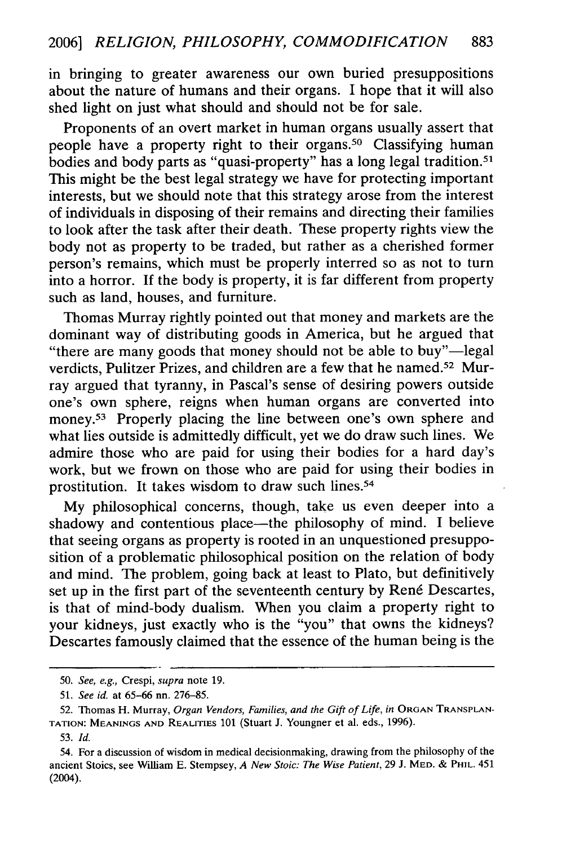in bringing to greater awareness our own buried presuppositions about the nature of humans and their organs. I hope that it will also shed light on just what should and should not be for sale.

Proponents of an overt market in human organs usually assert that people have a property right to their organs.50 Classifying human bodies and body parts as "quasi-property" has a long legal tradition.<sup>51</sup> This might be the best legal strategy we have for protecting important interests, but we should note that this strategy arose from the interest of individuals in disposing of their remains and directing their families to look after the task after their death. These property rights view the body not as property to be traded, but rather as a cherished former person's remains, which must be properly interred so as not to turn into a horror. If the body is property, it is far different from property such as land, houses, and furniture.

Thomas Murray rightly pointed out that money and markets are the dominant way of distributing goods in America, but he argued that "there are many goods that money should not be able to buy"—legal verdicts, Pulitzer Prizes, and children are a few that he named.<sup>52</sup> Murray argued that tyranny, in Pascal's sense of desiring powers outside one's own sphere, reigns when human organs are converted into money.53 Properly placing the line between one's own sphere and what lies outside is admittedly difficult, yet we do draw such lines. We admire those who are paid for using their bodies for a hard day's work, but we frown on those who are paid for using their bodies in prostitution. It takes wisdom to draw such lines.<sup>54</sup>

My philosophical concerns, though, take us even deeper into a shadowy and contentious place—the philosophy of mind. I believe that seeing organs as property is rooted in an unquestioned presupposition of a problematic philosophical position on the relation of body and mind. The problem, going back at least to Plato, but definitively set up in the first part of the seventeenth century by René Descartes, is that of mind-body dualism. When you claim a property right to your kidneys, just exactly who is the "you" that owns the kidneys? Descartes famously claimed that the essence of the human being is the

<sup>50.</sup> *See, e.g.,* Crespi, *supra* note 19.

<sup>51.</sup> *See id.* at 65-66 nn. 276-85.

<sup>52.</sup> Thomas H. Murray, Organ Vendors, Families, and the Gift of Life, in ORGAN TRANSPLAN-**TATION: MEANINGS AND** REALITIES 101 (Stuart J. Youngner et al. eds., 1996).

<sup>53.</sup> *Id.*

<sup>54.</sup> For a discussion of wisdom in medical decisionmaking, drawing from the philosophy of the ancient Stoics, see William **E.** Stempsey, *A New Stoic: The Wise Patient,* 29 **J.** MED. & PHIL. 451 (2004).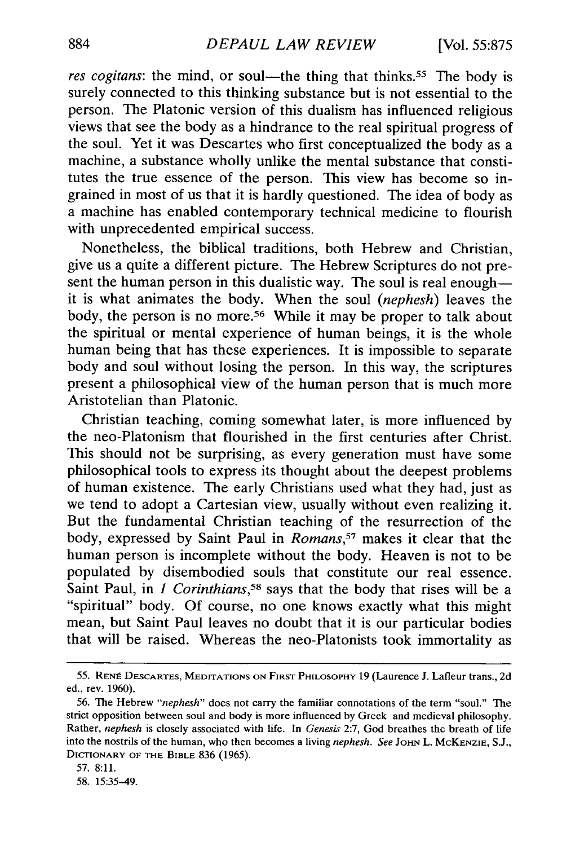*res cogitans:* the mind, or soul—the thing that thinks.<sup>55</sup> The body is surely connected to this thinking substance but is not essential to the person. The Platonic version of this dualism has influenced religious views that see the body as a hindrance to the real spiritual progress of the soul. Yet it was Descartes who first conceptualized the body as a machine, a substance wholly unlike the mental substance that constitutes the true essence of the person. This view has become so ingrained in most of us that it is hardly questioned. The idea of body as a machine has enabled contemporary technical medicine to flourish with unprecedented empirical success.

Nonetheless, the biblical traditions, both Hebrew and Christian, give us a quite a different picture. The Hebrew Scriptures do not present the human person in this dualistic way. The soul is real enough it is what animates the body. When the soul *(nephesh)* leaves the body, the person is no more.<sup>56</sup> While it may be proper to talk about the spiritual or mental experience of human beings, it is the whole human being that has these experiences. It is impossible to separate body and soul without losing the person. In this way, the scriptures present a philosophical view of the human person that is much more Aristotelian than Platonic.

Christian teaching, coming somewhat later, is more influenced by the neo-Platonism that flourished in the first centuries after Christ. This should not be surprising, as every generation must have some philosophical tools to express its thought about the deepest problems of human existence. The early Christians used what they had, just as we tend to adopt a Cartesian view, usually without even realizing it. But the fundamental Christian teaching of the resurrection of the body, expressed by Saint Paul in *Romans,57* makes it clear that the human person is incomplete without the body. Heaven is not to be populated by disembodied souls that constitute our real essence. Saint Paul, in *1 Corinthians,58* says that the body that rises will be a "spiritual" body. Of course, no one knows exactly what this might mean, but Saint Paul leaves no doubt that it is our particular bodies that will be raised. Whereas the neo-Platonists took immortality as

**<sup>55.</sup> REN8 DESCARTES,** MEDITATIONS **ON** FIRST PHILOSOPHY 19 (Laurence **J.** Lafleur trans., 2d ed., rev. 1960).

<sup>56.</sup> The Hebrew *"nephesh"* does not carry the familiar connotations of the term "soul." The strict opposition between soul and body is more influenced by Greek and medieval philosophy. Rather, *nephesh* is closely associated with life. In *Genesis* 2:7, God breathes the breath of life into the nostrils of the human, who then becomes a living *nephesh. See* John L. McKENZIE, S.J., DICTIONARY OF **THE** BIBLE 836 (1965).

<sup>57. 8:11.</sup>

<sup>58. 15:35-49.</sup>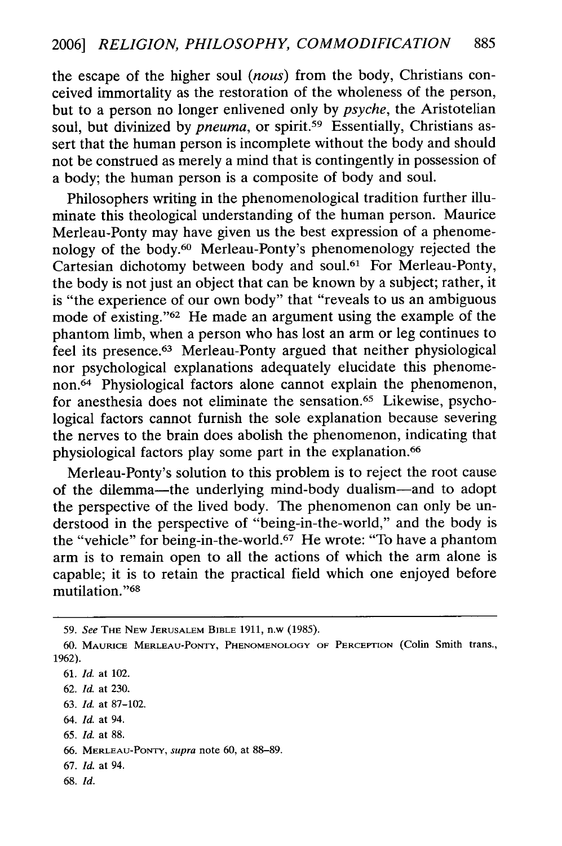the escape of the higher soul *(nous)* from the body, Christians conceived immortality as the restoration of the wholeness of the person, but to a person no longer enlivened only by *psyche,* the Aristotelian soul, but divinized by *pneuma*, or spirit.<sup>59</sup> Essentially, Christians assert that the human person is incomplete without the body and should not be construed as merely a mind that is contingently in possession of a body; the human person is a composite of body and soul.

Philosophers writing in the phenomenological tradition further illuminate this theological understanding of the human person. Maurice Merleau-Ponty may have given us the best expression of a phenomenology of the body. 60 Merleau-Ponty's phenomenology rejected the Cartesian dichotomy between body and soul.<sup>61</sup> For Merleau-Ponty, the body is not just an object that can be known by a subject; rather, it is "the experience of our own body" that "reveals to us an ambiguous mode of existing."<sup>62</sup> He made an argument using the example of the phantom limb, when a person who has lost an arm or leg continues to feel its presence.63 Merleau-Ponty argued that neither physiological nor psychological explanations adequately elucidate this phenomenon.64 Physiological factors alone cannot explain the phenomenon, for anesthesia does not eliminate the sensation. 65 Likewise, psychological factors cannot furnish the sole explanation because severing the nerves to the brain does abolish the phenomenon, indicating that physiological factors play some part in the explanation. <sup>66</sup>

Merleau-Ponty's solution to this problem is to reject the root cause of the dilemma-the underlying mind-body dualism-and to adopt the perspective of the lived body. The phenomenon can only be understood in the perspective of "being-in-the-world," and the body is the "vehicle" for being-in-the-world.<sup>67</sup> He wrote: "To have a phantom arm is to remain open to all the actions of which the arm alone is capable; it is to retain the practical field which one enjoyed before mutilation."<sup>68</sup>

64. *Id.* at 94.

- 67. *Id.* at 94.
- **68.** *Id.*

**<sup>59.</sup>** *See* THE **NEW** JERUSALEM BIBLE 1911, n.w (1985).

<sup>60.</sup> MAURICE MERLEAU-PONTY, **PHENOMENOLOGY** OF PERCEPTION (Colin Smith trans., 1962).

<sup>61.</sup> *Id.* at 102.

<sup>62.</sup> *Id.* at 230.

<sup>63.</sup> *Id.* at 87-102.

**<sup>65.</sup>** *Id.* at 88.

**<sup>66.</sup>** MERLEAU-PONTY, *supra* note 60, at 88-89.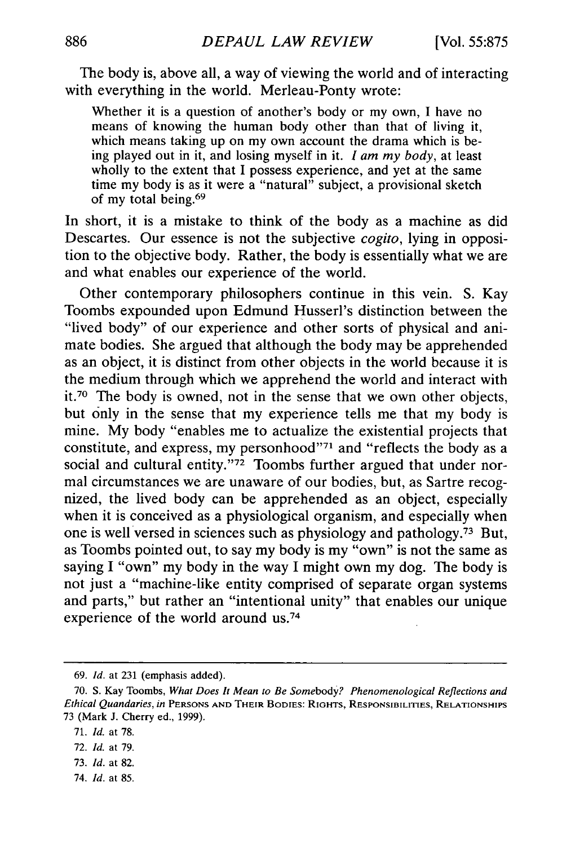The body is, above all, a way of viewing the world and of interacting with everything in the world. Merleau-Ponty wrote:

Whether it is a question of another's body or my own, I have no means of knowing the human body other than that of living it, which means taking up on my own account the drama which is being played out in it, and losing myself in it. *I am my body,* at least wholly to the extent that I possess experience, and yet at the same time my body is as it were a "natural" subject, a provisional sketch of my total being. <sup>69</sup>

In short, it is a mistake to think of the body as a machine as did Descartes. Our essence is not the subjective *cogito,* lying in opposition to the objective body. Rather, the body is essentially what we are and what enables our experience of the world.

Other contemporary philosophers continue in this vein. S. Kay Toombs expounded upon Edmund Husserl's distinction between the "lived body" of our experience and other sorts of physical and animate bodies. She argued that although the body may be apprehended as an object, it is distinct from other objects in the world because it is the medium through which we apprehend the world and interact with it.<sup>70</sup> The body is owned, not in the sense that we own other objects, but only in the sense that my experience tells me that my body is mine. My body "enables me to actualize the existential projects that constitute, and express, my personhood"71 and "reflects the body as a social and cultural entity."<sup>72</sup> Toombs further argued that under normal circumstances we are unaware of our bodies, but, as Sartre recognized, the lived body can be apprehended as an object, especially when it is conceived as a physiological organism, and especially when one is well versed in sciences such as physiology and pathology.73 But, as Toombs pointed out, to say my body is my "own" is not the same as saying I "own" my body in the way I might own my dog. The body is not just a "machine-like entity comprised of separate organ systems and parts," but rather an "intentional unity" that enables our unique experience of the world around us.<sup>74</sup>

- 73. *Id.* at 82.
- 74. *Id.* at 85.

<sup>69.</sup> *Id.* at 231 (emphasis added).

<sup>70.</sup> **S.** Kay Toombs, *What Does It Mean to Be Somebody? Phenomenological Reflections and Ethical Quandaries, in* **PERSONS AND** THEIR **BODIES:** RIGHTS, RESPONSIBILITIES, RELATIONSHIPS 73 (Mark J. Cherry ed., 1999).

<sup>71.</sup> *Id.* at 78.

<sup>72.</sup> *Id.* at 79.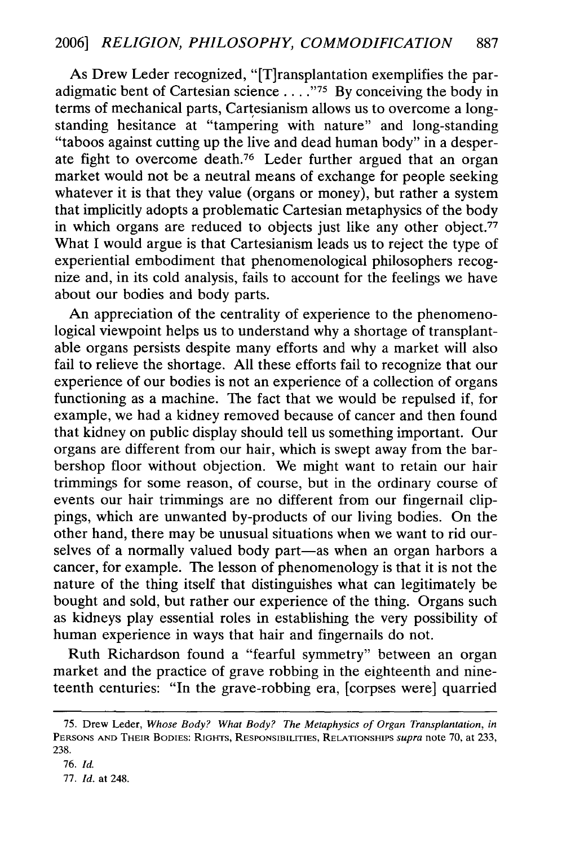As Drew Leder recognized, "[T]ransplantation exemplifies the paradigmatic bent of Cartesian science .... **-75** By conceiving the body in terms of mechanical parts, Cartesianism allows us to overcome a longstanding hesitance at "tampering with nature" and long-standing "taboos against cutting up the live and dead human body" in a desperate fight to overcome death.76 Leder further argued that an organ market would not be a neutral means of exchange for people seeking whatever it is that they value (organs or money), but rather a system that implicitly adopts a problematic Cartesian metaphysics of the body in which organs are reduced to objects just like any other object.<sup>77</sup> What I would argue is that Cartesianism leads us to reject the type of experiential embodiment that phenomenological philosophers recognize and, in its cold analysis, fails to account for the feelings we have about our bodies and body parts.

An appreciation of the centrality of experience to the phenomenological viewpoint helps us to understand why a shortage of transplantable organs persists despite many efforts and why a market will also fail to relieve the shortage. All these efforts fail to recognize that our experience of our bodies is not an experience of a collection of organs functioning as a machine. The fact that we would be repulsed if, for example, we had a kidney removed because of cancer and then found that kidney on public display should tell us something important. Our organs are different from our hair, which is swept away from the barbershop floor without objection. We might want to retain our hair trimmings for some reason, of course, but in the ordinary course of events our hair trimmings are no different from our fingernail clippings, which are unwanted by-products of our living bodies. On the other hand, there may be unusual situations when we want to rid ourselves of a normally valued body part-as when an organ harbors a cancer, for example. The lesson of phenomenology is that it is not the nature of the thing itself that distinguishes what can legitimately be bought and sold, but rather our experience of the thing. Organs such as kidneys play essential roles in establishing the very possibility of human experience in ways that hair and fingernails do not.

Ruth Richardson found a "fearful symmetry" between an organ market and the practice of grave robbing in the eighteenth and nineteenth centuries: "In the grave-robbing era, [corpses were] quarried

<sup>75.</sup> Drew Leder, *Whose Body? What Body? The Metaphysics of Organ Transplantation, in* **PERSONS AND** THEIR **BODIES:** RIGHTS, RESPONSIBILITIES, **RELATIONSHIPS** *supra* note 70, at 233, 238.

<sup>76.</sup> *Id.*

<sup>77.</sup> *Id.* at 248.